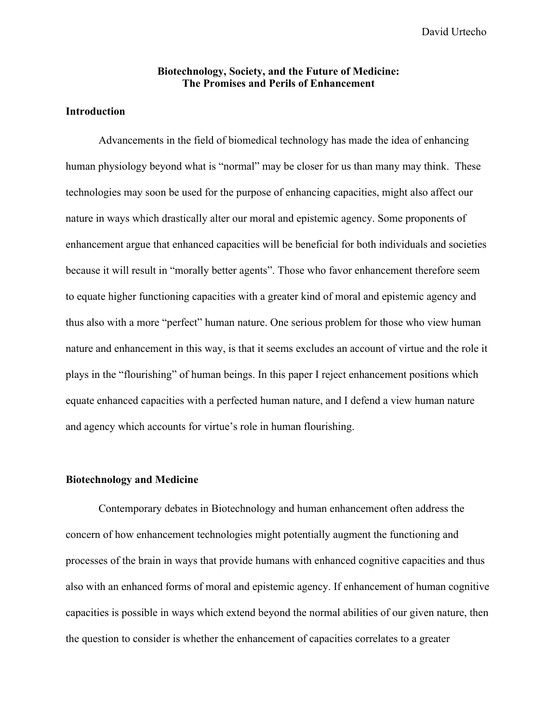David Urtecho

### **Biotechnology, Society, and the Future of Medicine: The Promises and Perils of Enhancement**

## **Introduction**

Advancements in the field of biomedical technology has made the idea of enhancing human physiology beyond what is "normal" may be closer for us than many may think. These technologies may soon be used for the purpose of enhancing capacities, might also affect our nature in ways which drastically alter our moral and epistemic agency. Some proponents of enhancement argue that enhanced capacities will be beneficial for both individuals and societies because it will result in "morally better agents". Those who favor enhancement therefore seem to equate higher functioning capacities with a greater kind of moral and epistemic agency and thus also with a more "perfect" human nature. One serious problem for those who view human nature and enhancement in this way, is that it seems excludes an account of virtue and the role it plays in the "flourishing" of human beings. In this paper I reject enhancement positions which equate enhanced capacities with a perfected human nature, and I defend a view human nature and agency which accounts for virtue's role in human flourishing.

#### **Biotechnology and Medicine**

Contemporary debates in Biotechnology and human enhancement often address the concern of how enhancement technologies might potentially augment the functioning and processes of the brain in ways that provide humans with enhanced cognitive capacities and thus also with an enhanced forms of moral and epistemic agency. If enhancement of human cognitive capacities is possible in ways which extend beyond the normal abilities of our given nature, then the question to consider is whether the enhancement of capacities correlates to a greater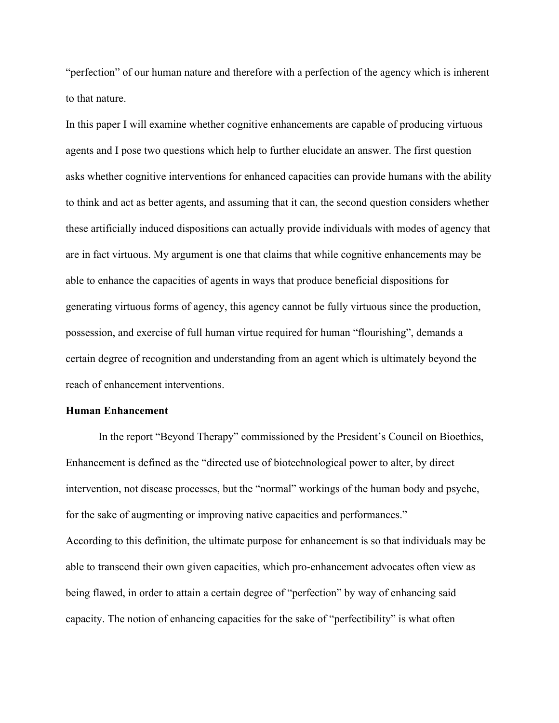"perfection" of our human nature and therefore with a perfection of the agency which is inherent to that nature.

In this paper I will examine whether cognitive enhancements are capable of producing virtuous agents and I pose two questions which help to further elucidate an answer. The first question asks whether cognitive interventions for enhanced capacities can provide humans with the ability to think and act as better agents, and assuming that it can, the second question considers whether these artificially induced dispositions can actually provide individuals with modes of agency that are in fact virtuous. My argument is one that claims that while cognitive enhancements may be able to enhance the capacities of agents in ways that produce beneficial dispositions for generating virtuous forms of agency, this agency cannot be fully virtuous since the production, possession, and exercise of full human virtue required for human "flourishing", demands a certain degree of recognition and understanding from an agent which is ultimately beyond the reach of enhancement interventions.

#### **Human Enhancement**

In the report "Beyond Therapy" commissioned by the President's Council on Bioethics, Enhancement is defined as the "directed use of biotechnological power to alter, by direct intervention, not disease processes, but the "normal" workings of the human body and psyche, for the sake of augmenting or improving native capacities and performances." According to this definition, the ultimate purpose for enhancement is so that individuals may be able to transcend their own given capacities, which pro-enhancement advocates often view as being flawed, in order to attain a certain degree of "perfection" by way of enhancing said capacity. The notion of enhancing capacities for the sake of "perfectibility" is what often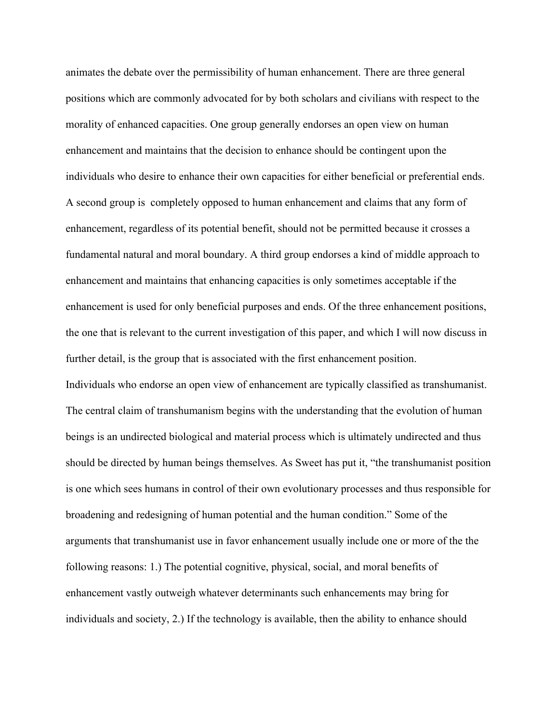animates the debate over the permissibility of human enhancement. There are three general positions which are commonly advocated for by both scholars and civilians with respect to the morality of enhanced capacities. One group generally endorses an open view on human enhancement and maintains that the decision to enhance should be contingent upon the individuals who desire to enhance their own capacities for either beneficial or preferential ends. A second group is completely opposed to human enhancement and claims that any form of enhancement, regardless of its potential benefit, should not be permitted because it crosses a fundamental natural and moral boundary. A third group endorses a kind of middle approach to enhancement and maintains that enhancing capacities is only sometimes acceptable if the enhancement is used for only beneficial purposes and ends. Of the three enhancement positions, the one that is relevant to the current investigation of this paper, and which I will now discuss in further detail, is the group that is associated with the first enhancement position. Individuals who endorse an open view of enhancement are typically classified as transhumanist. The central claim of transhumanism begins with the understanding that the evolution of human beings is an undirected biological and material process which is ultimately undirected and thus should be directed by human beings themselves. As Sweet has put it, "the transhumanist position is one which sees humans in control of their own evolutionary processes and thus responsible for broadening and redesigning of human potential and the human condition." Some of the arguments that transhumanist use in favor enhancement usually include one or more of the the following reasons: 1.) The potential cognitive, physical, social, and moral benefits of enhancement vastly outweigh whatever determinants such enhancements may bring for individuals and society, 2.) If the technology is available, then the ability to enhance should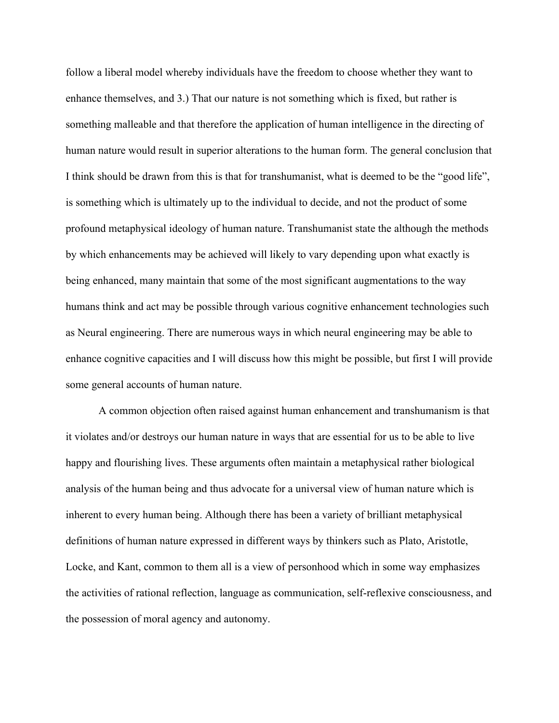follow a liberal model whereby individuals have the freedom to choose whether they want to enhance themselves, and 3.) That our nature is not something which is fixed, but rather is something malleable and that therefore the application of human intelligence in the directing of human nature would result in superior alterations to the human form. The general conclusion that I think should be drawn from this is that for transhumanist, what is deemed to be the "good life", is something which is ultimately up to the individual to decide, and not the product of some profound metaphysical ideology of human nature. Transhumanist state the although the methods by which enhancements may be achieved will likely to vary depending upon what exactly is being enhanced, many maintain that some of the most significant augmentations to the way humans think and act may be possible through various cognitive enhancement technologies such as Neural engineering. There are numerous ways in which neural engineering may be able to enhance cognitive capacities and I will discuss how this might be possible, but first I will provide some general accounts of human nature.

A common objection often raised against human enhancement and transhumanism is that it violates and/or destroys our human nature in ways that are essential for us to be able to live happy and flourishing lives. These arguments often maintain a metaphysical rather biological analysis of the human being and thus advocate for a universal view of human nature which is inherent to every human being. Although there has been a variety of brilliant metaphysical definitions of human nature expressed in different ways by thinkers such as Plato, Aristotle, Locke, and Kant, common to them all is a view of personhood which in some way emphasizes the activities of rational reflection, language as communication, self-reflexive consciousness, and the possession of moral agency and autonomy.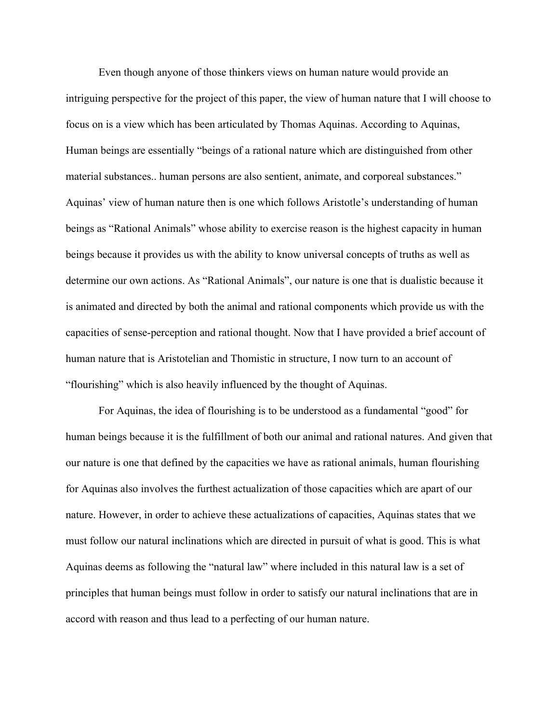Even though anyone of those thinkers views on human nature would provide an intriguing perspective for the project of this paper, the view of human nature that I will choose to focus on is a view which has been articulated by Thomas Aquinas. According to Aquinas, Human beings are essentially "beings of a rational nature which are distinguished from other material substances.. human persons are also sentient, animate, and corporeal substances." Aquinas' view of human nature then is one which follows Aristotle's understanding of human beings as "Rational Animals" whose ability to exercise reason is the highest capacity in human beings because it provides us with the ability to know universal concepts of truths as well as determine our own actions. As "Rational Animals", our nature is one that is dualistic because it is animated and directed by both the animal and rational components which provide us with the capacities of sense-perception and rational thought. Now that I have provided a brief account of human nature that is Aristotelian and Thomistic in structure, I now turn to an account of "flourishing" which is also heavily influenced by the thought of Aquinas.

For Aquinas, the idea of flourishing is to be understood as a fundamental "good" for human beings because it is the fulfillment of both our animal and rational natures. And given that our nature is one that defined by the capacities we have as rational animals, human flourishing for Aquinas also involves the furthest actualization of those capacities which are apart of our nature. However, in order to achieve these actualizations of capacities, Aquinas states that we must follow our natural inclinations which are directed in pursuit of what is good. This is what Aquinas deems as following the "natural law" where included in this natural law is a set of principles that human beings must follow in order to satisfy our natural inclinations that are in accord with reason and thus lead to a perfecting of our human nature.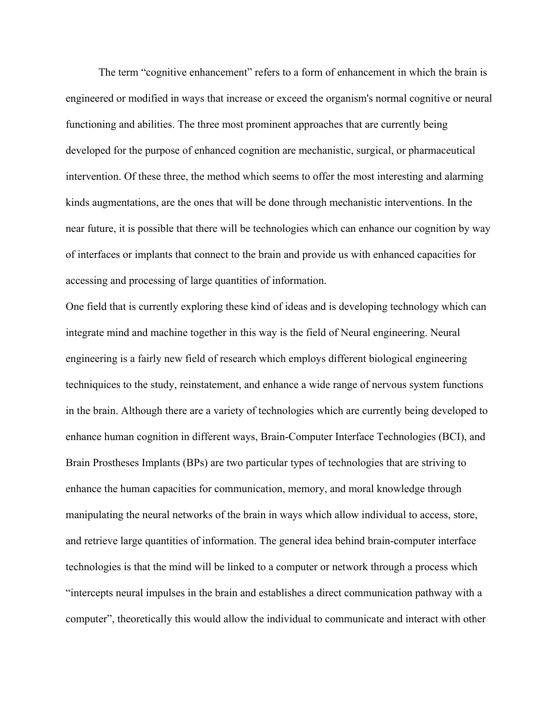The term "cognitive enhancement" refers to a form of enhancement in which the brain is engineered or modified in ways that increase or exceed the organism's normal cognitive or neural functioning and abilities. The three most prominent approaches that are currently being developed for the purpose of enhanced cognition are mechanistic, surgical, or pharmaceutical intervention. Of these three, the method which seems to offer the most interesting and alarming kinds augmentations, are the ones that will be done through mechanistic interventions. In the near future, it is possible that there will be technologies which can enhance our cognition by way of interfaces or implants that connect to the brain and provide us with enhanced capacities for accessing and processing of large quantities of information.

One field that is currently exploring these kind of ideas and is developing technology which can integrate mind and machine together in this way is the field of Neural engineering. Neural engineering is a fairly new field of research which employs different biological engineering techniquices to the study, reinstatement, and enhance a wide range of nervous system functions in the brain. Although there are a variety of technologies which are currently being developed to enhance human cognition in different ways, Brain-Computer Interface Technologies (BCI), and Brain Prostheses Implants (BPs) are two particular types of technologies that are striving to enhance the human capacities for communication, memory, and moral knowledge through manipulating the neural networks of the brain in ways which allow individual to access, store, and retrieve large quantities of information. The general idea behind brain-computer interface technologies is that the mind will be linked to a computer or network through a process which "intercepts neural impulses in the brain and establishes a direct communication pathway with a computer", theoretically this would allow the individual to communicate and interact with other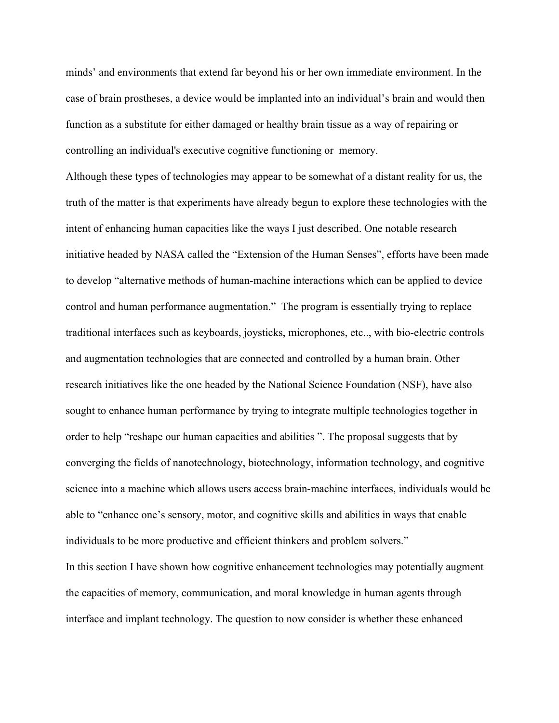minds' and environments that extend far beyond his or her own immediate environment. In the case of brain prostheses, a device would be implanted into an individual's brain and would then function as a substitute for either damaged or healthy brain tissue as a way of repairing or controlling an individual's executive cognitive functioning or memory.

Although these types of technologies may appear to be somewhat of a distant reality for us, the truth of the matter is that experiments have already begun to explore these technologies with the intent of enhancing human capacities like the ways I just described. One notable research initiative headed by NASA called the "Extension of the Human Senses", efforts have been made to develop "alternative methods of human-machine interactions which can be applied to device control and human performance augmentation." The program is essentially trying to replace traditional interfaces such as keyboards, joysticks, microphones, etc.., with bio-electric controls and augmentation technologies that are connected and controlled by a human brain. Other research initiatives like the one headed by the National Science Foundation (NSF), have also sought to enhance human performance by trying to integrate multiple technologies together in order to help "reshape our human capacities and abilities ". The proposal suggests that by converging the fields of nanotechnology, biotechnology, information technology, and cognitive science into a machine which allows users access brain-machine interfaces, individuals would be able to "enhance one's sensory, motor, and cognitive skills and abilities in ways that enable individuals to be more productive and efficient thinkers and problem solvers."

In this section I have shown how cognitive enhancement technologies may potentially augment the capacities of memory, communication, and moral knowledge in human agents through interface and implant technology. The question to now consider is whether these enhanced